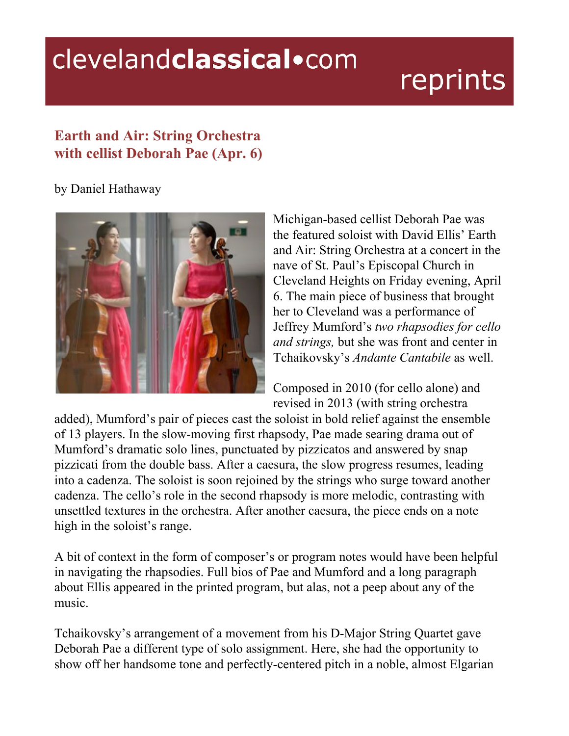## clevelandclassical.com

## reprints

## **Earth and Air: String Orchestra with cellist Deborah Pae (Apr. 6)**

## by Daniel Hathaway



Michigan-based cellist Deborah Pae was the featured soloist with David Ellis' Earth and Air: String Orchestra at a concert in the nave of St. Paul's Episcopal Church in Cleveland Heights on Friday evening, April 6. The main piece of business that brought her to Cleveland was a performance of Jeffrey Mumford's *two rhapsodies for cello and strings,* but she was front and center in Tchaikovsky's *Andante Cantabile* as well.

Composed in 2010 (for cello alone) and revised in 2013 (with string orchestra

added), Mumford's pair of pieces cast the soloist in bold relief against the ensemble of 13 players. In the slow-moving first rhapsody, Pae made searing drama out of Mumford's dramatic solo lines, punctuated by pizzicatos and answered by snap pizzicati from the double bass. After a caesura, the slow progress resumes, leading into a cadenza. The soloist is soon rejoined by the strings who surge toward another cadenza. The cello's role in the second rhapsody is more melodic, contrasting with unsettled textures in the orchestra. After another caesura, the piece ends on a note high in the soloist's range.

A bit of context in the form of composer's or program notes would have been helpful in navigating the rhapsodies. Full bios of Pae and Mumford and a long paragraph about Ellis appeared in the printed program, but alas, not a peep about any of the music.

Tchaikovsky's arrangement of a movement from his D-Major String Quartet gave Deborah Pae a different type of solo assignment. Here, she had the opportunity to show off her handsome tone and perfectly-centered pitch in a noble, almost Elgarian